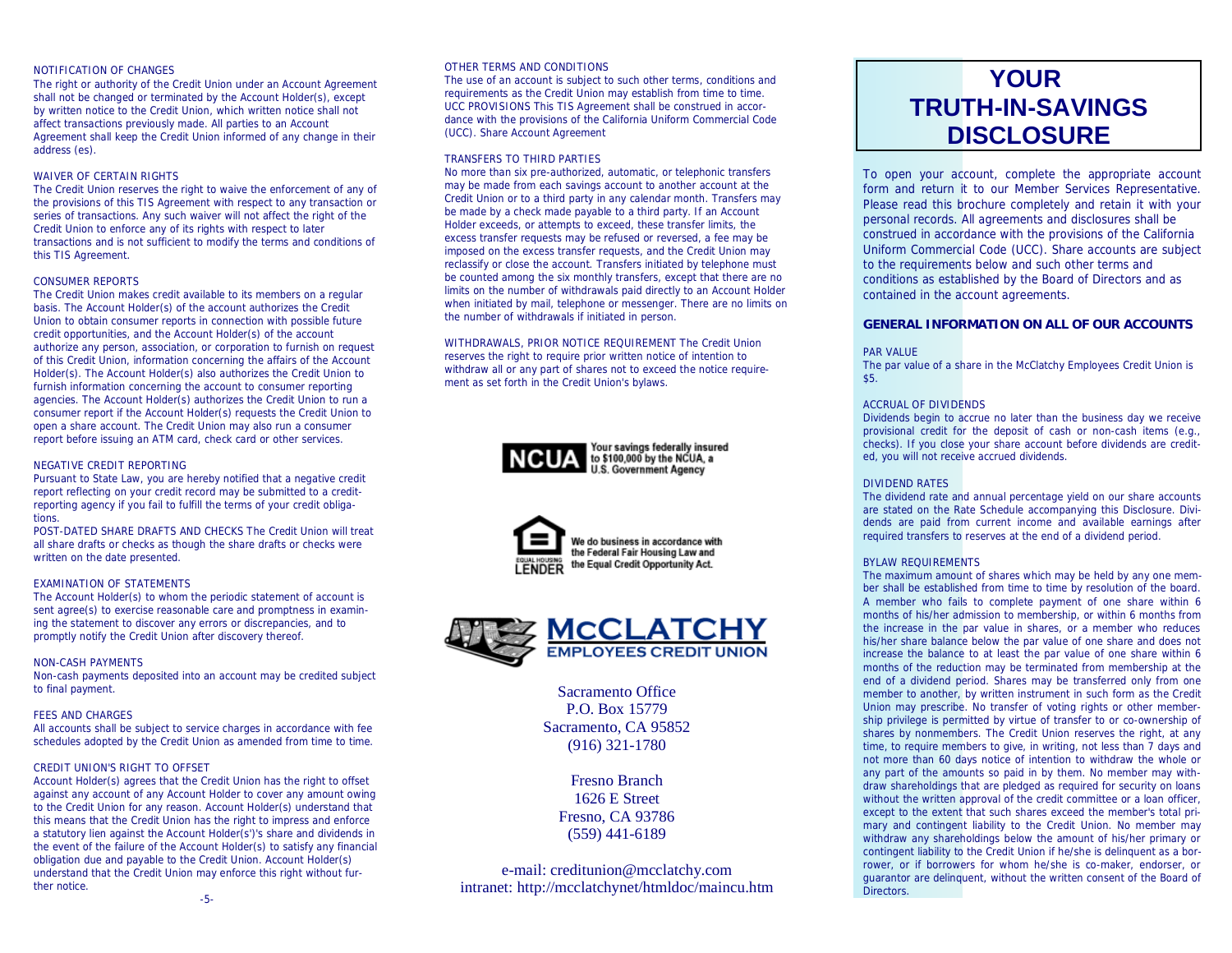## NOTIFICATION OF CHANGES

The right or authority of the Credit Union under an Account Agreement shall not be changed or terminated by the Account Holder(s), except by written notice to the Credit Union, which written notice shall not affect transactions previously made. All parties to an Account Agreement shall keep the Credit Union informed of any change in their address (es).

# WAIVER OF CERTAIN RIGHTS

The Credit Union reserves the right to waive the enforcement of any of the provisions of this TIS Agreement with respect to any transaction or series of transactions. Any such waiver will not affect the right of the Credit Union to enforce any of its rights with respect to later transactions and is not sufficient to modify the terms and conditions of this TIS Agreement.

# CONSUMER REPORTS

The Credit Union makes credit available to its members on a regular basis. The Account Holder(s) of the account authorizes the Credit Union to obtain consumer reports in connection with possible future credit opportunities, and the Account Holder(s) of the account authorize any person, association, or corporation to furnish on request of this Credit Union, information concerning the affairs of the Account Holder(s). The Account Holder(s) also authorizes the Credit Union to furnish information concerning the account to consumer reporting agencies. The Account Holder(s) authorizes the Credit Union to run a consumer report if the Account Holder(s) requests the Credit Union to open a share account. The Credit Union may also run a consumer report before issuing an ATM card, check card or other services.

# NEGATIVE CREDIT REPORTING

Pursuant to State Law, you are hereby notified that a negative credit report reflecting on your credit record may be submitted to a creditreporting agency if you fail to fulfill the terms of your credit obligations.

POST-DATED SHARE DRAFTS AND CHECKS The Credit Union will treat all share drafts or checks as though the share drafts or checks were written on the date presented.

# EXAMINATION OF STATEMENTS

The Account Holder(s) to whom the periodic statement of account is sent agree(s) to exercise reasonable care and promptness in examining the statement to discover any errors or discrepancies, and to promptly notify the Credit Union after discovery thereof.

# NON-CASH PAYMENTS

Non-cash payments deposited into an account may be credited subject to final payment.

# FEES AND CHARGES

All accounts shall be subject to service charges in accordance with fee schedules adopted by the Credit Union as amended from time to time.

# CREDIT UNION'S RIGHT TO OFFSET

Account Holder(s) agrees that the Credit Union has the right to offset against any account of any Account Holder to cover any amount owing to the Credit Union for any reason. Account Holder(s) understand that this means that the Credit Union has the right to impress and enforce a statutory lien against the Account Holder(s')'s share and dividends in the event of the failure of the Account Holder(s) to satisfy any financial obligation due and payable to the Credit Union. Account Holder(s) understand that the Credit Union may enforce this right without further notice.

#### OTHER TERMS AND CONDITIONS

The use of an account is subject to such other terms, conditions and requirements as the Credit Union may establish from time to time. UCC PROVISIONS This TIS Agreement shall be construed in accordance with the provisions of the California Uniform Commercial Code (UCC). Share Account Agreement

# TRANSFERS TO THIRD PARTIES

No more than six pre-authorized, automatic, or telephonic transfers may be made from each savings account to another account at the Credit Union or to a third party in any calendar month. Transfers may be made by a check made payable to a third party. If an Account Holder exceeds, or attempts to exceed, these transfer limits, the excess transfer requests may be refused or reversed, a fee may be imposed on the excess transfer requests, and the Credit Union may reclassify or close the account. Transfers initiated by telephone must be counted among the six monthly transfers, except that there are no limits on the number of withdrawals paid directly to an Account Holder when initiated by mail, telephone or messenger. There are no limits on the number of withdrawals if initiated in person.

WITHDRAWALS, PRIOR NOTICE REQUIREMENT The Credit Union reserves the right to require prior written notice of intention to withdraw all or any part of shares not to exceed the notice requirement as set forth in the Credit Union's bylaws.







Sacramento Office P.O. Box 15779 Sacramento, CA 95852 (916) 321-1780

> Fresno Branch 1626 E Street Fresno, CA 93786 (559) 441-6189

e-mail: creditunion@mcclatchy.com intranet: http://mcclatchynet/htmldoc/maincu.htm

# **YOUR TRUTH-IN-SAVINGS DISCLOSURE**

*To open your account, complete the appropriate account form and return it to our Member Services Representative. Please read this brochure completely and retain it with your personal records. All agreements and disclosures shall be construed in accordance with the provisions of the California Uniform Commercial Code (UCC). Share accounts are subject to the requirements below and such other terms and conditions as established by the Board of Directors and as contained in the account agreements.*

# **GENERAL INFORMATION ON ALL OF OUR ACCOUNTS**

#### PAR VALUE

The par value of a share in the McClatchy Employees Credit Union is \$5.

## ACCRUAL OF DIVIDENDS

Dividends begin to accrue no later than the business day we receive provisional credit for the deposit of cash or non-cash items (e.g., checks). If you close your share account before dividends are credited, you will not receive accrued dividends.

# DIVIDEND RATES

The dividend rate and annual percentage yield on our share accounts are stated on the Rate Schedule accompanying this Disclosure. Dividends are paid from current income and available earnings after required transfers to reserves at the end of a dividend period.

# BYLAW REQUIREMENTS

The maximum amount of shares which may be held by any one member shall be established from time to time by resolution of the board. A member who fails to complete payment of one share within 6 months of his/her admission to membership, or within 6 months from the increase in the par value in shares, or a member who reduces his/her share balance below the par value of one share and does not increase the balance to at least the par value of one share within 6 months of the reduction may be terminated from membership at the end of a dividend period. Shares may be transferred only from one member to another, by written instrument in such form as the Credit Union may prescribe. No transfer of voting rights or other membership privilege is permitted by virtue of transfer to or co-ownership of shares by nonmembers. The Credit Union reserves the right, at any time, to require members to give, in writing, not less than 7 days and not more than 60 days notice of intention to withdraw the whole or any part of the amounts so paid in by them. No member may withdraw shareholdings that are pledged as required for security on loans without the written approval of the credit committee or a loan officer. except to the extent that such shares exceed the member's total primary and contingent liability to the Credit Union. No member may withdraw any shareholdings below the amount of his/her primary or contingent liability to the Credit Union if he/she is delinquent as a borrower, or if borrowers for whom he/she is co-maker, endorser, or guarantor are delinquent, without the written consent of the Board of Directors.